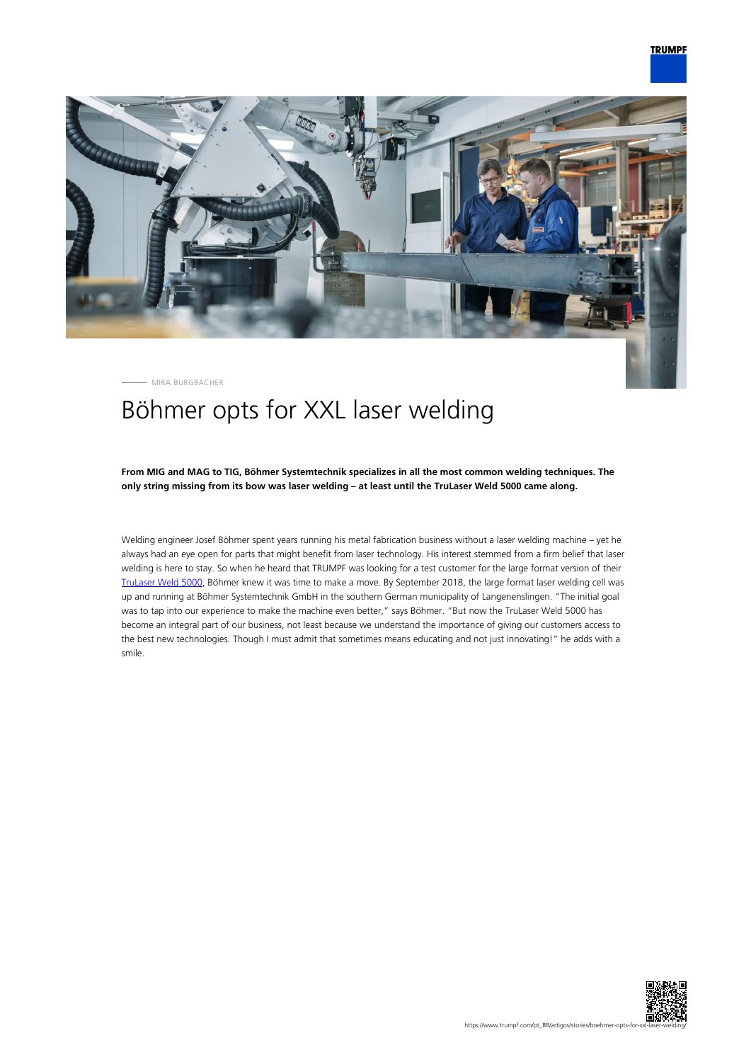

MIRA BURGBACHER

# Böhmer opts for XXL laser welding

**From MIG and MAG to TIG, Böhmer Systemtechnik specializes in all the most common welding techniques. The only string missing from its bow was laser welding – at least until the TruLaser Weld 5000 came along.**

Welding engineer Josef Böhmer spent years running his metal fabrication business without a laser welding machine – yet he always had an eye open for parts that might benefit from laser technology. His interest stemmed from a firm belief that laser welding is here to stay. So when he heard that TRUMPF was looking for a test customer for the large format version of their [TruLaser Weld 5000,](https://www.trumpf.com/en_INT/products/machines-systems/laser-welding-systems-and-the-arc-welding-cell/trulaser-weld-5000/) Böhmer knew it was time to make a move. By September 2018, the large format laser welding cell was up and running at Böhmer Systemtechnik GmbH in the southern German municipality of Langenenslingen. "The initial goal was to tap into our experience to make the machine even better," says Böhmer. "But now the TruLaser Weld 5000 has become an integral part of our business, not least because we understand the importance of giving our customers access to the best new technologies. Though I must admit that sometimes means educating and not just innovating!" he adds with a smile.

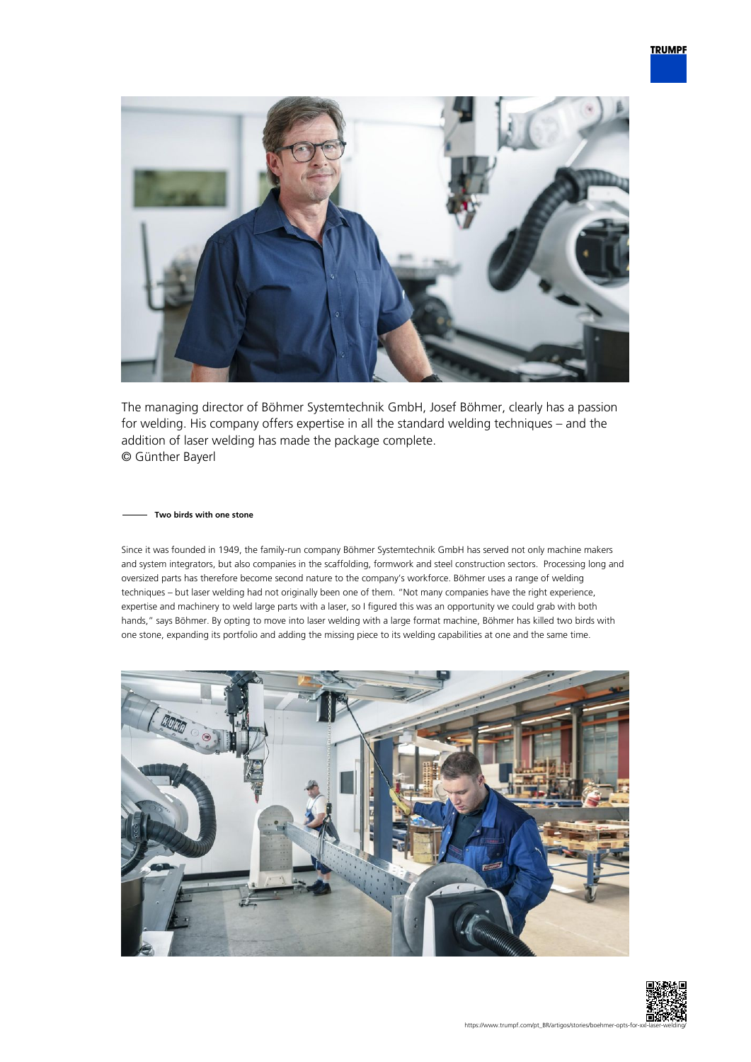

The managing director of Böhmer Systemtechnik GmbH, Josef Böhmer, clearly has a passion for welding. His company offers expertise in all the standard welding techniques – and the addition of laser welding has made the package complete. © Günther Bayerl

### **Two birds with one stone**

Since it was founded in 1949, the family-run company Böhmer Systemtechnik GmbH has served not only machine makers and system integrators, but also companies in the scaffolding, formwork and steel construction sectors. Processing long and oversized parts has therefore become second nature to the company's workforce. Böhmer uses a range of welding techniques – but laser welding had not originally been one of them. "Not many companies have the right experience, expertise and machinery to weld large parts with a laser, so I figured this was an opportunity we could grab with both hands," says Böhmer. By opting to move into laser welding with a large format machine, Böhmer has killed two birds with one stone, expanding its portfolio and adding the missing piece to its welding capabilities at one and the same time.



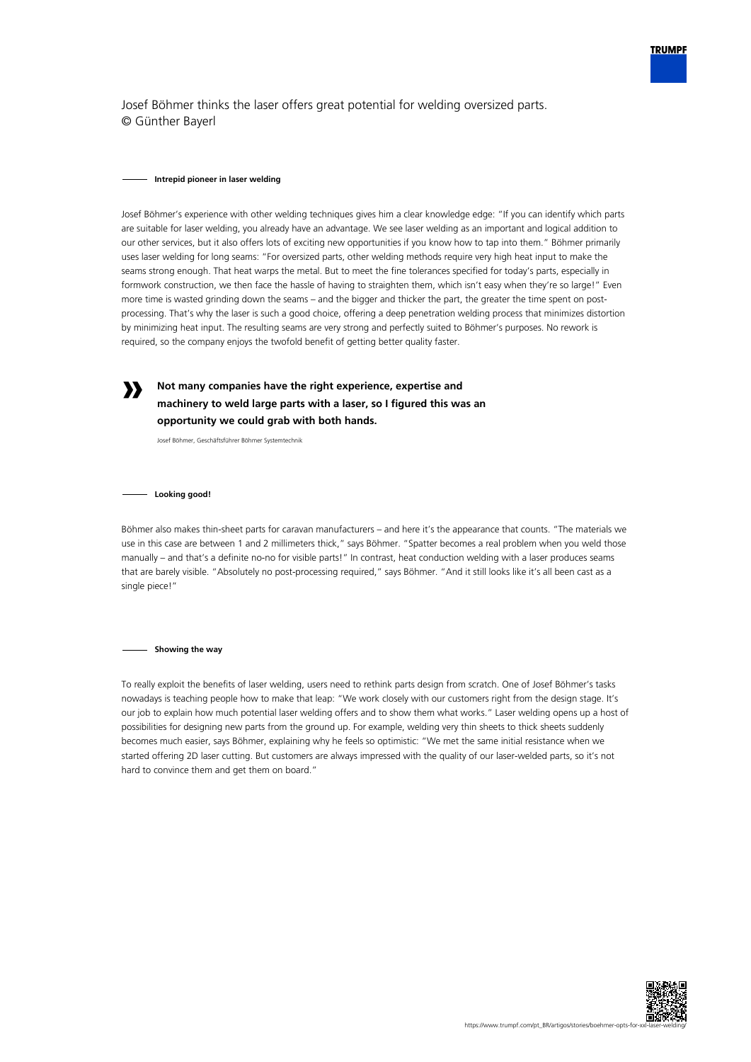

Josef Böhmer thinks the laser offers great potential for welding oversized parts. © Günther Bayerl

#### **Intrepid pioneer in laser welding**

Josef Böhmer's experience with other welding techniques gives him a clear knowledge edge: "If you can identify which parts are suitable for laser welding, you already have an advantage. We see laser welding as an important and logical addition to our other services, but it also offers lots of exciting new opportunities if you know how to tap into them." Böhmer primarily uses laser welding for long seams: "For oversized parts, other welding methods require very high heat input to make the seams strong enough. That heat warps the metal. But to meet the fine tolerances specified for today's parts, especially in formwork construction, we then face the hassle of having to straighten them, which isn't easy when they're so large!" Even more time is wasted grinding down the seams – and the bigger and thicker the part, the greater the time spent on postprocessing. That's why the laser is such a good choice, offering a deep penetration welding process that minimizes distortion by minimizing heat input. The resulting seams are very strong and perfectly suited to Böhmer's purposes. No rework is required, so the company enjoys the twofold benefit of getting better quality faster.

# **Not many companies have the right experience, expertise and machinery to weld large parts with a laser, so I figured this was an opportunity we could grab with both hands.**

Josef Böhmer, Geschäftsführer Böhmer Systemtechnik

**Looking good!**

**»**

Böhmer also makes thin-sheet parts for caravan manufacturers – and here it's the appearance that counts. "The materials we use in this case are between 1 and 2 millimeters thick," says Böhmer. "Spatter becomes a real problem when you weld those manually – and that's a definite no-no for visible parts!" In contrast, heat conduction welding with a laser produces seams that are barely visible. "Absolutely no post-processing required," says Böhmer. "And it still looks like it's all been cast as a single piece!"

**Showing the way**

To really exploit the benefits of laser welding, users need to rethink parts design from scratch. One of Josef Böhmer's tasks nowadays is teaching people how to make that leap: "We work closely with our customers right from the design stage. It's our job to explain how much potential laser welding offers and to show them what works." Laser welding opens up a host of possibilities for designing new parts from the ground up. For example, welding very thin sheets to thick sheets suddenly becomes much easier, says Böhmer, explaining why he feels so optimistic: "We met the same initial resistance when we started offering 2D laser cutting. But customers are always impressed with the quality of our laser-welded parts, so it's not hard to convince them and get them on board."

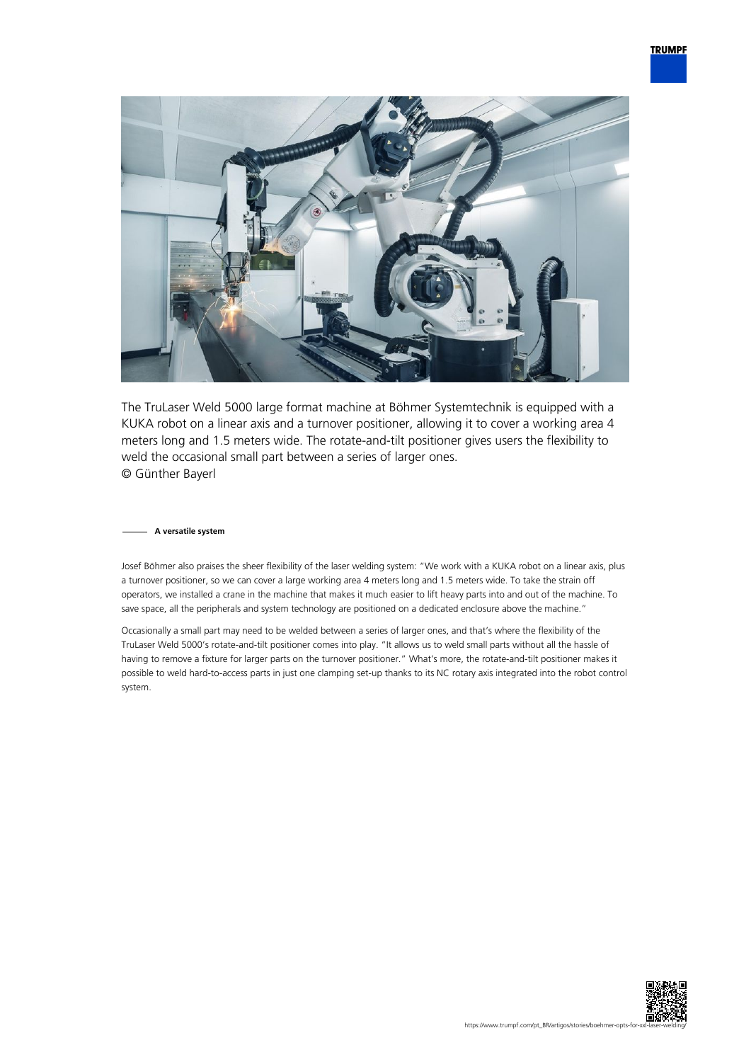

The TruLaser Weld 5000 large format machine at Böhmer Systemtechnik is equipped with a KUKA robot on a linear axis and a turnover positioner, allowing it to cover a working area 4 meters long and 1.5 meters wide. The rotate-and-tilt positioner gives users the flexibility to weld the occasional small part between a series of larger ones. © Günther Bayerl

## **A versatile system**

Josef Böhmer also praises the sheer flexibility of the laser welding system: "We work with a KUKA robot on a linear axis, plus a turnover positioner, so we can cover a large working area 4 meters long and 1.5 meters wide. To take the strain off operators, we installed a crane in the machine that makes it much easier to lift heavy parts into and out of the machine. To save space, all the peripherals and system technology are positioned on a dedicated enclosure above the machine."

Occasionally a small part may need to be welded between a series of larger ones, and that's where the flexibility of the TruLaser Weld 5000's rotate-and-tilt positioner comes into play. "It allows us to weld small parts without all the hassle of having to remove a fixture for larger parts on the turnover positioner." What's more, the rotate-and-tilt positioner makes it possible to weld hard-to-access parts in just one clamping set-up thanks to its NC rotary axis integrated into the robot control system.

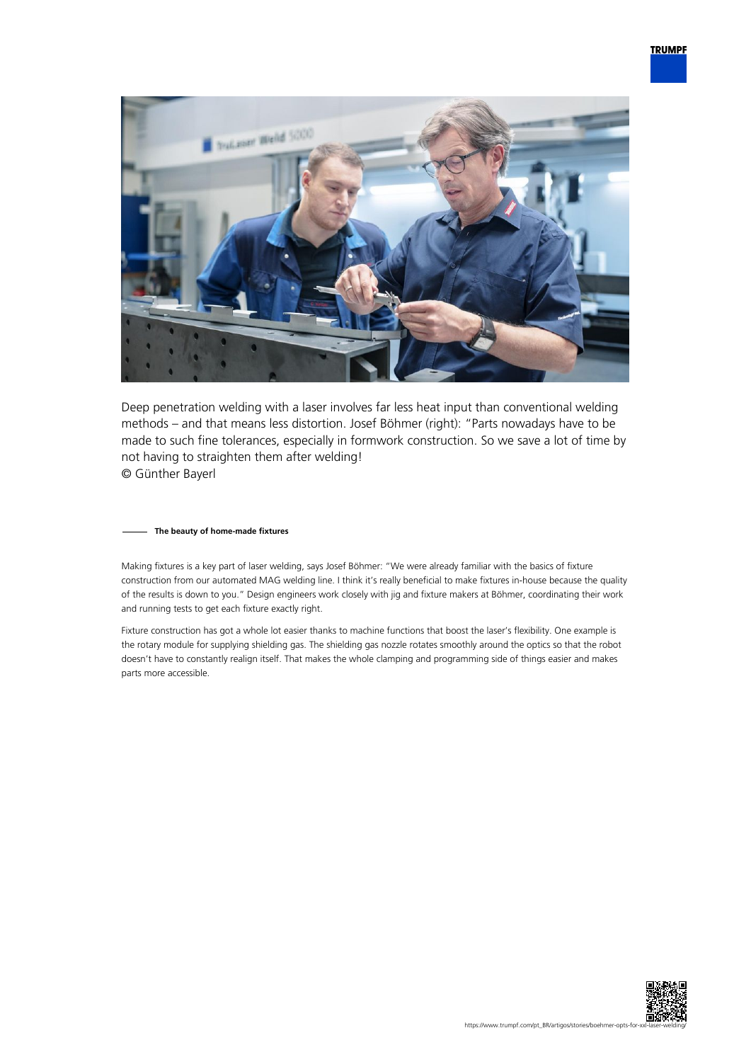

Deep penetration welding with a laser involves far less heat input than conventional welding methods – and that means less distortion. Josef Böhmer (right): "Parts nowadays have to be made to such fine tolerances, especially in formwork construction. So we save a lot of time by not having to straighten them after welding! © Günther Bayerl

# **The beauty of home-made fixtures**

Making fixtures is a key part of laser welding, says Josef Böhmer: "We were already familiar with the basics of fixture construction from our automated MAG welding line. I think it's really beneficial to make fixtures in-house because the quality of the results is down to you." Design engineers work closely with jig and fixture makers at Böhmer, coordinating their work and running tests to get each fixture exactly right.

Fixture construction has got a whole lot easier thanks to machine functions that boost the laser's flexibility. One example is the rotary module for supplying shielding gas. The shielding gas nozzle rotates smoothly around the optics so that the robot doesn't have to constantly realign itself. That makes the whole clamping and programming side of things easier and makes parts more accessible.